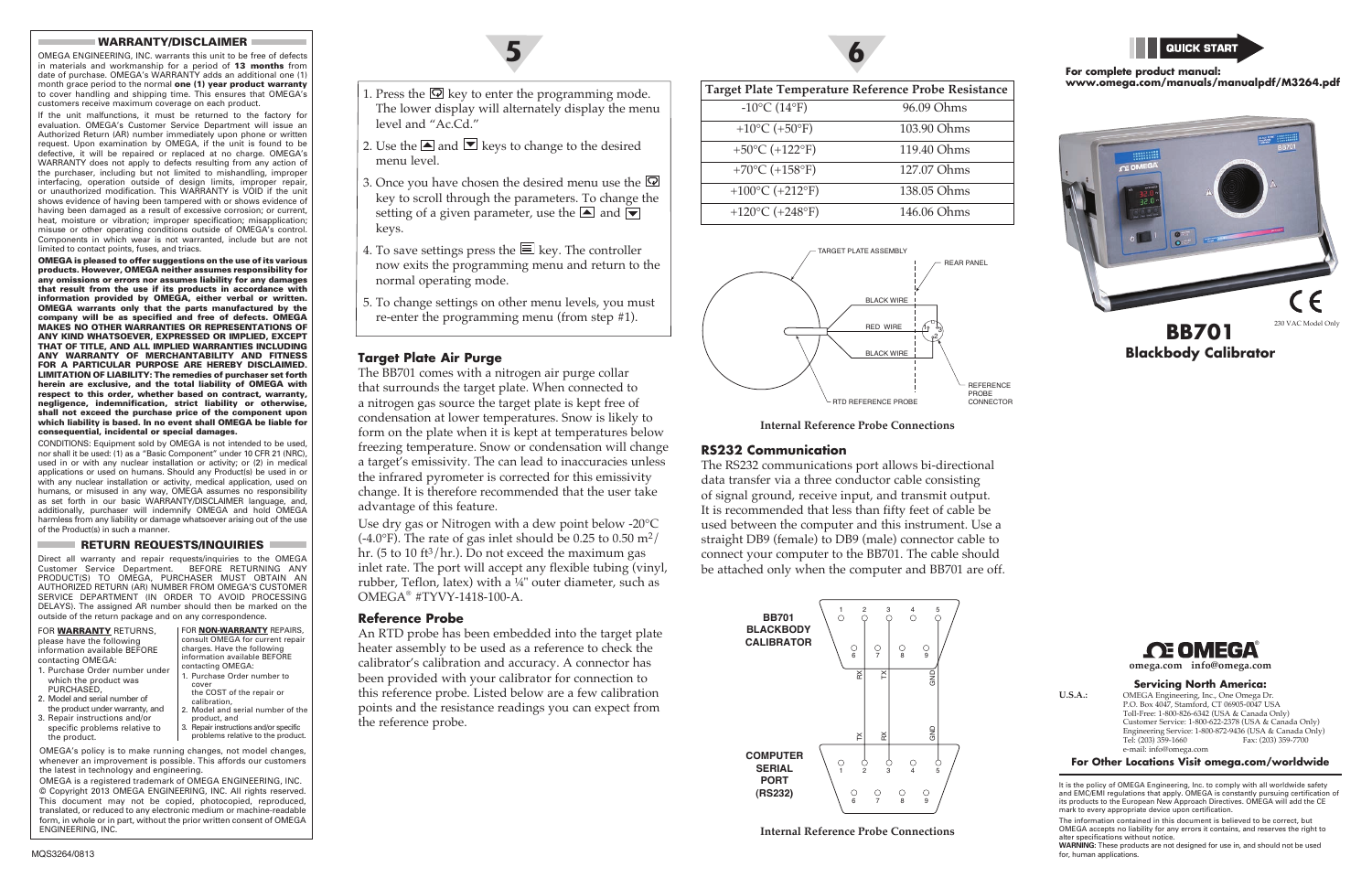#### **Target Plate Air Purge**

The BB701 comes with a nitrogen air purge collar that surrounds the target plate. When connected to a nitrogen gas source the target plate is kept free of condensation at lower temperatures. Snow is likely to form on the plate when it is kept at temperatures below freezing temperature. Snow or condensation will change a target's emissivity. The can lead to inaccuracies unless the infrared pyrometer is corrected for this emissivity change. It is therefore recommended that the user take advantage of this feature.

Use dry gas or Nitrogen with a dew point below -20°C  $(-4.0^{\circ}F)$ . The rate of gas inlet should be 0.25 to 0.50 m<sup>2</sup>/ hr. (5 to 10 ft $\frac{3}{hr}$ ). Do not exceed the maximum gas inlet rate. The port will accept any flexible tubing (vinyl, rubber, Teflon, latex) with a ¼" outer diameter, such as OMEGA® #TYVY-1418-100-A.

#### **Reference Probe**

An RTD probe has been embedded into the target plate heater assembly to be used as a reference to check the calibrator's calibration and accuracy. A connector has been provided with your calibrator for connection to this reference probe. Listed below are a few calibration points and the resistance readings you can expect from the reference probe.

> **WARNING:** These products are not designed for use in, and should not be used for, human applications

**5**



# **BB701 Blackbody Calibrator**

#### **omega.com info@omega.com**



#### **Servicing North America:**

**U.S.A.:** OMEGA Engineering, Inc., One Omega Dr. P.O. Box 4047, Stamford, CT 06905-0047 USA Toll-Free: 1-800-826-6342 (USA & Canada Only) Customer Service: 1-800-622-2378 (USA & Canada Only) Engineering Service: 1-800-872-9436 (USA & Canada Only)<br>Tel: (203) 359-1660 Fax: (203) 359-7700 Fax: (203) 359-7700 e-mail: info@omega.com

**For Other Locations Visit omega.com/worldwide**

It is the policy of OMEGA Engineering, Inc. to comply with all worldwide safety and EMC/EMI regulations that apply. OMEGA is constantly pursuing certification of its products to the European New Approach Directives. OMEGA will add the CE mark to every appropriate device upon certification

The information contained in this document is believed to be correct, but OMEGA accepts no liability for any errors it contains, and reserves the right to alter specifications without notice.

#### WARRANTY/DISCLAIMER

OMEGA ENGINEERING, INC. warrants this unit to be free of defects in materials and workmanship for a period of 13 months from date of purchase. OMEGA's WARRANTY adds an additional one (1) month grace period to the normal one (1) year product warranty to cover handling and shipping time. This ensures that OMEGA's customers receive maximum coverage on each product.

If the unit malfunctions, it must be returned to the factory for evaluation. OMEGA's Customer Service Department will issue an Authorized Return (AR) number immediately upon phone or written request. Upon examination by OMEGA, if the unit is found to be defective, it will be repaired or replaced at no charge. OMEGA's WARRANTY does not apply to defects resulting from any action of the purchaser, including but not limited to mishandling, improper interfacing, operation outside of design limits, improper repair, or unauthorized modification. This WARRANTY is VOID if the unit shows evidence of having been tampered with or shows evidence of having been damaged as a result of excessive corrosion; or current, heat, moisture or vibration; improper specification; misapplication; misuse or other operating conditions outside of OMEGA's control. Components in which wear is not warranted, include but are not limited to contact points, fuses, and triacs.

- 2. Use the  $\blacksquare$  and  $\blacksquare$  keys to change to the desired menu level.
- 3. Once you have chosen the desired menu use the  $\overline{\mathcal{Q}}$ key to scroll through the parameters. To change the setting of a given parameter, use the  $\triangle$  and  $\blacktriangledown$ keys.
- 4. To save settings press the  $\equiv$  key. The controller now exits the programming menu and return to the normal operating mode.
- 5. To change settings on other menu levels, you must re-enter the programming menu (from step #1).

OMEGA is pleased to offer suggestions on the use of its various products. However, OMEGA neither assumes responsibility for any omissions or errors nor assumes liability for any damages that result from the use if its products in accordance with information provided by OMEGA, either verbal or written. OMEGA warrants only that the parts manufactured by the company will be as specified and free of defects. OMEGA MAKES NO OTHER WARRANTIES OR REPRESENTATIONS OF ANY KIND WHATSOEVER, EXPRESSED OR IMPLIED, EXCEPT THAT OF TITLE, AND ALL IMPLIED WARRANTIES INCLUDING ANY WARRANTY OF MERCHANTABILITY AND FITNESS FOR A PARTICULAR PURPOSE ARE HEREBY DISCLAIMED. LIMITATION OF LIABILITY: The remedies of purchaser set forth herein are exclusive, and the total liability of OMEGA with respect to this order, whether based on contract, warranty, negligence, indemnification, strict liability or otherwise, shall not exceed the purchase price of the component upon which liability is based. In no event shall OMEGA be liable for consequential, incidental or special damages.

CONDITIONS: Equipment sold by OMEGA is not intended to be used, nor shall it be used: (1) as a "Basic Component" under 10 CFR 21 (NRC), used in or with any nuclear installation or activity; or (2) in medical applications or used on humans. Should any Product(s) be used in or with any nuclear installation or activity, medical application, used on humans, or misused in any way, OMEGA assumes no responsibility as set forth in our basic WARRANTY/DISCLAIMER language, and, additionally, purchaser will indemnify OMEGA and hold OMEGA harmless from any liability or damage whatsoever arising out of the use of the Product(s) in such a manner.

#### RETURN REQUESTS/INQUIRIES

Direct all warranty and repair requests/inquiries to the OMEGA Customer Service Department. BEFORE RETURNING ANY PRODUCT(S) TO OMEGA, PURCHASER MUST OBTAIN AN AUTHORIZED RETURN (AR) NUMBER FROM OMEGA'S CUSTOMER SERVICE DEPARTMENT (IN ORDER TO AVOID PROCESSING DELAYS). The assigned AR number should then be marked on the outside of the return package and on any correspondence.

| FOR <b>WARRANTY</b> RETURNS,<br>please have the following<br>information available BEFORE<br>contacting OMEGA:<br>1. Purchase Order number under<br>which the product was<br>PURCHASED,<br>2. Model and serial number of<br>the product under warranty, and<br>3. Repair instructions and/or<br>specific problems relative to<br>the product. | FOR NON-WARRANTY REPAIRS,<br>consult OMEGA for current repair<br>charges. Have the following<br>information available BEFORE<br>contacting OMEGA:<br>1. Purchase Order number to<br>cover<br>the COST of the repair or<br>calibration.<br>2. Model and serial number of the<br>product, and<br>3. Repair instructions and/or specific<br>problems relative to the product. |
|-----------------------------------------------------------------------------------------------------------------------------------------------------------------------------------------------------------------------------------------------------------------------------------------------------------------------------------------------|----------------------------------------------------------------------------------------------------------------------------------------------------------------------------------------------------------------------------------------------------------------------------------------------------------------------------------------------------------------------------|
| OMEGA's policy is to make running changes, not model changes,<br>whanover an improvement is possible. This effects our quetamers                                                                                                                                                                                                              |                                                                                                                                                                                                                                                                                                                                                                            |

whenever an improvement is possible. This affords our customers the latest in technology and engineering. OMEGA is a registered trademark of OMEGA ENGINEERING, INC.

© Copyright 2013 OMEGA ENGINEERING, INC. All rights reserved. This document may not be copied, photocopied, reproduced, translated, or reduced to any electronic medium or machine-readable form, in whole or in part, without the prior written consent of OMEGA ENGINEERING, INC.



**Internal Reference Probe Connections**

#### **RS232 Communication**

The RS232 communications port allows bi-directional data transfer via a three conductor cable consisting of signal ground, receive input, and transmit output. It is recommended that less than fifty feet of cable be used between the computer and this instrument. Use a straight DB9 (female) to DB9 (male) connector cable to connect your computer to the BB701. The cable should be attached only when the computer and BB701 are off.

| Target Plate Temperature Reference Probe Resistance |                                                |             |
|-----------------------------------------------------|------------------------------------------------|-------------|
|                                                     | $-10^{\circ}$ C (14°F)                         | 96.09 Ohms  |
|                                                     | +10 $^{\circ}$ C (+50 $^{\circ}$ F)            | 103.90 Ohms |
|                                                     | +50 $°C$ (+122 $°F$ )                          | 119.40 Ohms |
|                                                     | +70 $°C$ (+158 $°F$ )                          | 127.07 Ohms |
|                                                     | +100 $\rm ^{\circ}C$ (+212 $\rm ^{\circ}F$ )   | 138.05 Ohms |
|                                                     | +120 $\rm{^{\circ}C}$ (+248 $\rm{^{\circ}F}$ ) | 146.06 Ohms |

#### **For complete product manual: www.omega.com/manuals/manualpdf/M3264.pdf**





**Internal Reference Probe Connections**